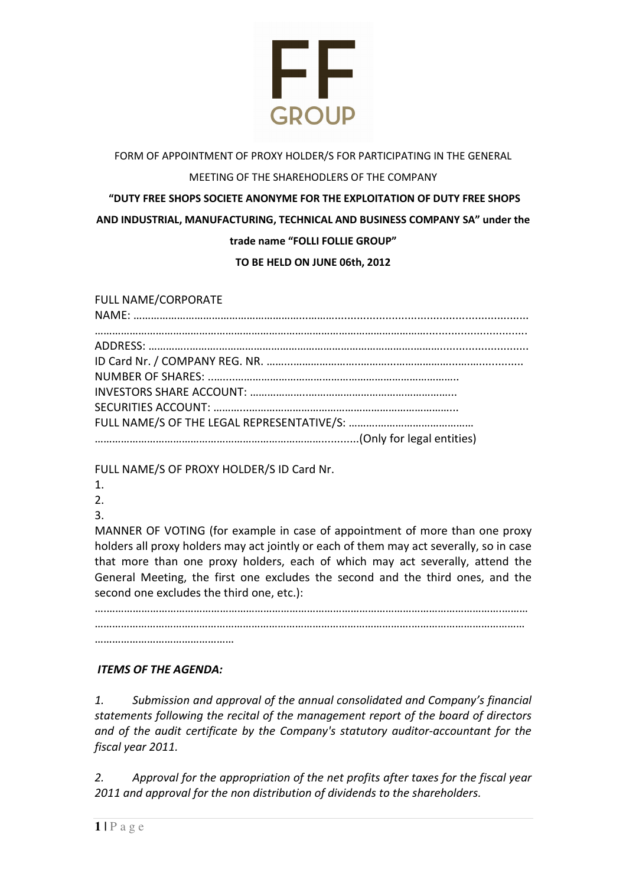

# FORM OF APPOINTMENT OF PROXY HOLDER/S FOR PARTICIPATING IN THE GENERAL

### MEETING OF THE SHAREHODLERS OF THE COMPANY

# "DUTY FREE SHOPS SOCIETE ANONYME FOR THE EXPLOITATION OF DUTY FREE SHOPS AND INDUSTRIAL, MANUFACTURING, TECHNICAL AND BUSINESS COMPANY SA" under the trade name "FOLLI FOLLIE GROUP"

#### TO BE HELD ON JUNE 06th, 2012

#### FULL NAME/CORPORATE

FULL NAME/S OF PROXY HOLDER/S ID Card Nr.

- 1.
- $2<sub>1</sub>$
- 3.

MANNER OF VOTING (for example in case of appointment of more than one proxy holders all proxy holders may act jointly or each of them may act severally, so in case that more than one proxy holders, each of which may act severally, attend the General Meeting, the first one excludes the second and the third ones, and the second one excludes the third one, etc.):

….……………………………………………………………………………………………………………………….………  $\mathcal{L}^{\text{max}}$ …………………………………………

### ITEMS OF THE AGENDA:

1. Submission and approval of the annual consolidated and Company's financial statements following the recital of the management report of the board of directors and of the audit certificate by the Company's statutory auditor-accountant for the fiscal year 2011.

2. Approval for the appropriation of the net profits after taxes for the fiscal year 2011 and approval for the non distribution of dividends to the shareholders.